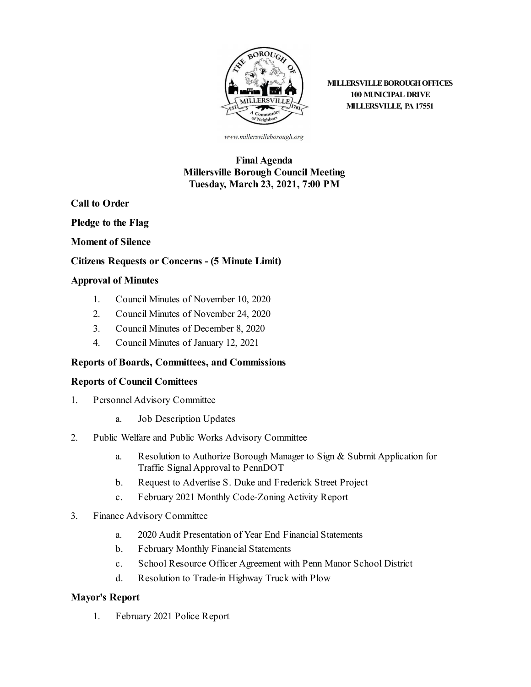

**MILLERSVILLE BOROUGH OFFICES 100 MUNICIPAL DRIVE MILLERSVILLE, PA 17551**

www.millersvilleborough.org

## **Final Agenda Millersville Borough Council Meeting Tuesday, March 23, 2021, 7:00 PM**

**Call to Order**

**Pledge to the Flag**

**Moment of Silence**

#### **Citizens Requests or Concerns - (5 Minute Limit)**

#### **Approval of Minutes**

- 1. Council Minutes of [November](file:///C:/Windows/TEMP/CoverSheet.aspx?ItemID=2036&MeetingID=155) 10, 2020
- 2. Council Minutes of [November](file:///C:/Windows/TEMP/CoverSheet.aspx?ItemID=2037&MeetingID=155) 24, 2020
- 3. Council Minutes of [December](file:///C:/Windows/TEMP/CoverSheet.aspx?ItemID=2038&MeetingID=155) 8, 2020
- 4. [Council](file:///C:/Windows/TEMP/CoverSheet.aspx?ItemID=2039&MeetingID=155) Minutes of January 12, 2021

### **Reports of Boards, Committees, and Commissions**

#### **Reports of Council Comittees**

- 1. Personnel Advisory Committee
	- a. Job [Description](file:///C:/Windows/TEMP/CoverSheet.aspx?ItemID=2020&MeetingID=155) Updates
- 2. Public Welfare and Public Works Advisory Committee
	- a. Resolution to Authorize Borough Manager to Sign & Submit Application for Traffic Signal Approval to PennDOT
	- b. Request to Advertise S. Duke and [Frederick](file:///C:/Windows/TEMP/CoverSheet.aspx?ItemID=2028&MeetingID=155) Street Project
	- c. February 2021 Monthly [Code-Zoning](file:///C:/Windows/TEMP/CoverSheet.aspx?ItemID=2029&MeetingID=155) Activity Report
- 3. Finance Advisory Committee
	- a. 2020 Audit [Presentation](file:///C:/Windows/TEMP/CoverSheet.aspx?ItemID=2031&MeetingID=155) of Year End Financial Statements
	- b. February Monthly Financial [Statements](file:///C:/Windows/TEMP/CoverSheet.aspx?ItemID=2032&MeetingID=155)
	- c. School Resource Officer [Agreement](file:///C:/Windows/TEMP/CoverSheet.aspx?ItemID=2034&MeetingID=155) with Penn Manor School District
	- d. [Resolution](file:///C:/Windows/TEMP/CoverSheet.aspx?ItemID=2033&MeetingID=155) to Trade-in Highway Truck with Plow

### **Mayor's Report**

1. [February](file:///C:/Windows/TEMP/CoverSheet.aspx?ItemID=2030&MeetingID=155) 2021 Police Report